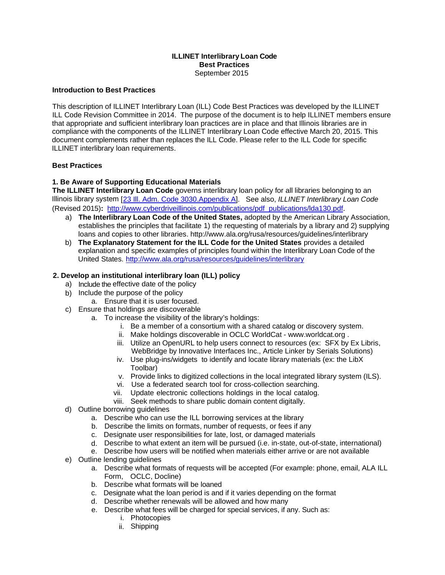### **ILLINET Interlibrary Loan Code Best Practices** September 2015

#### **Introduction to Best Practices**

This description of ILLINET Interlibrary Loan (ILL) Code Best Practices was developed by the ILLINET ILL Code Revision Committee in 2014. The purpose of the document is to help ILLINET members ensure that appropriate and sufficient interlibrary loan practices are in place and that Illinois libraries are in compliance with the components of the ILLINET Interlibrary Loan Code effective March 20, 2015. This document complements rather than replaces the ILL Code. Please refer to the ILL Code for specific ILLINET interlibrary loan requirements.

### **Best Practices**

## **1. Be Aware of Supporting Educational Materials**

**The ILLINET Interlibrary Loan Code** governs interlibrary loan policy for all libraries belonging to an Illinois library system [23 Ill. Adm. Code [3030.Appendix](http://www.ilga.gov/commission/jcar/admincode/023/02303030ZZ9999AR.html) A]. See also, *ILLINET Interlibrary Loan Code* (Revised 2015)**:** [http://www.cyberdriveillinois.com/publications/pdf\\_publications/lda130.pdf](http://www.cyberdriveillinois.com/publications/pdf_publications/lda130.pdf).

- a) **The Interlibrary Loan Code of the United States,** adopted by the American Library Association, establishes the principles that facilitate 1) the requesting of materials by a library and 2) supplying loans and copies to other libraries. <http://www.ala.org/rusa/resources/guidelines/interlibrary>
- b) **The Explanatory Statement for the ILL Code for the United States** provides a detailed explanation and specific examples of principles found within the Interlibrary Loan Code of the United States.<http://www.ala.org/rusa/resources/guidelines/interlibrary>

### **2. Develop an institutional interlibrary loan (ILL) policy**

- a) Include the effective date of the policy
- b) Include the purpose of the policy
	- a. Ensure that it is user focused.
- c) Ensure that holdings are discoverable
	- a. To increase the visibility of the library's holdings:
		- i. Be a member of a consortium with a shared catalog or discovery system.
		- ii. Make holdings discoverable in OCLC WorldCat [www.worldcat.org](http://www.worldcat.org/) .
		- iii. Utilize an OpenURL to help users connect to resources (ex: SFX by Ex Libris, WebBridge by Innovative Interfaces Inc., Article Linker by Serials Solutions)
		- iv. Use plug-ins/widgets to identify and locate library materials (ex: the LibX Toolbar)
		- v. Provide links to digitized collections in the local integrated library system (ILS).
		- vi. Use a federated search tool for cross-collection searching.
		- vii. Update electronic collections holdings in the local catalog.
		- viii. Seek methods to share public domain content digitally.
- d) Outline borrowing guidelines
	- a. Describe who can use the ILL borrowing services at the library
	- b. Describe the limits on formats, number of requests, or fees if any
	- c. Designate user responsibilities for late, lost, or damaged materials
	- d. Describe to what extent an item will be pursued (i.e. in-state, out-of-state, international)
	- e. Describe how users will be notified when materials either arrive or are not available
- e) Outline lending guidelines
	- a. Describe what formats of requests will be accepted (For example: phone, email, ALA ILL Form, OCLC, Docline)
	- b. Describe what formats will be loaned
	- c. Designate what the loan period is and if it varies depending on the format
	- d. Describe whether renewals will be allowed and how many
	- e. Describe what fees will be charged for special services, if any. Such as:
		- i. Photocopies
		- ii. Shipping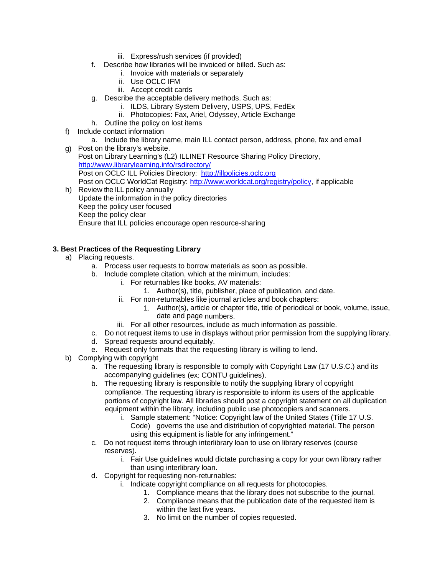- iii. Express/rush services (if provided)
- f. Describe how libraries will be invoiced or billed. Such as:
	- i. Invoice with materials or separately
	- ii. Use OCLC IFM
	- iii. Accept credit cards
- g. Describe the acceptable delivery methods. Such as:
	- i. ILDS, Library System Delivery, USPS, UPS, FedEx
	- ii. Photocopies: Fax, Ariel, Odyssey, Article Exchange
- h. Outline the policy on lost items
- f) Include contact information
	- a. Include the library name, main ILL contact person, address, phone, fax and email
- g) Post on the library's website. Post on Library Learning's (L2) ILLINET Resource Sharing Policy Directory, <http://www.librarylearning.info/rsdirectory/> Post on OCLC ILL Policies Directory: [http://illpolicies.oclc.org](http://illpolicies.oclc.org/) Post on OCLC WorldCat Registry: [http://www.worldcat.org/registry/policy,](http://www.worldcat.org/registry/policy) if applicable h) Review the ILL policy annually
- Update the information in the policy directories Keep the policy user focused Keep the policy clear Ensure that ILL policies encourage open resource-sharing

# **3. Best Practices of the Requesting Library**

- a) Placing requests.
	- a. Process user requests to borrow materials as soon as possible.
	- b. Include complete citation, which at the minimum, includes:
		- i. For returnables like books, AV materials:
			- 1. Author(s), title, publisher, place of publication, and date.
			- ii. For non-returnables like journal articles and book chapters:
				- 1. Author(s), article or chapter title, title of periodical or book, volume, issue, date and page numbers.
		- iii. For all other resources, include as much information as possible.
	- c. Do not request items to use in displays without prior permission from the supplying library.
	- d. Spread requests around equitably.
	- e. Request only formats that the requesting library is willing to lend.
- b) Complying with copyright
	- a. The requesting library is responsible to comply with Copyright Law (17 U.S.C.) and its accompanying guidelines (ex: CONTU guidelines).
	- b. The requesting library is responsible to notify the supplying library of copyright compliance. The requesting library is responsible to inform its users of the applicable portions of copyright law. All libraries should post a copyright statement on all duplication equipment within the library, including public use photocopiers and scanners.
		- i. Sample statement: "Notice: Copyright law of the United States (Title 17 U.S. Code) governs the use and distribution of copyrighted material. The person using this equipment is liable for any infringement."
	- c. Do not request items through interlibrary loan to use on library reserves (course reserves).
		- i. Fair Use guidelines would dictate purchasing a copy for your own library rather than using interlibrary loan.
	- d. Copyright for requesting non-returnables:
		- i. Indicate copyright compliance on all requests for photocopies.
			- 1. Compliance means that the library does not subscribe to the journal.
			- 2. Compliance means that the publication date of the requested item is within the last five years.
			- 3. No limit on the number of copies requested.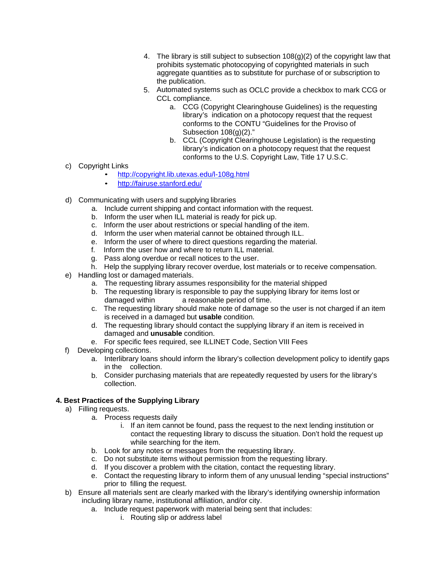- 4. The library is still subject to subsection 108(g)(2) of the copyright law that prohibits systematic photocopying of copyrighted materials in such aggregate quantities as to substitute for purchase of or subscription to the publication.
- 5. Automated systems such as OCLC provide a checkbox to mark CCG or CCL compliance.
	- a. CCG (Copyright Clearinghouse Guidelines) is the requesting library's indication on a photocopy request that the request conforms to the CONTU "Guidelines for the Proviso of Subsection 108(g)(2)."
	- b. CCL (Copyright Clearinghouse Legislation) is the requesting library's indication on a photocopy request that the request conforms to the U.S. Copyright Law, Title 17 U.S.C.
- c) Copyright Links
	- <http://copyright.lib.utexas.edu/l-108g.html>
	- <http://fairuse.stanford.edu/>
- d) Communicating with users and supplying libraries
	- a. Include current shipping and contact information with the request.
	- b. Inform the user when ILL material is ready for pick up.
	- c. Inform the user about restrictions or special handling of the item.
	- d. Inform the user when material cannot be obtained through ILL.
	- e. Inform the user of where to direct questions regarding the material.
	- f. Inform the user how and where to return ILL material.
	- g. Pass along overdue or recall notices to the user.
	- h. Help the supplying library recover overdue, lost materials or to receive compensation.
- e) Handling lost or damaged materials.
	- a. The requesting library assumes responsibility for the material shipped
	- b. The requesting library is responsible to pay the supplying library for items lost or damaged within a reasonable period of time.
	- c. The requesting library should make note of damage so the user is not charged if an item is received in a damaged but **usable** condition.
	- d. The requesting library should contact the supplying library if an item is received in damaged and **unusable** condition.
	- e. For specific fees required, see ILLINET Code, Section VIII Fees
- f) Developing collections.
	- a. Interlibrary loans should inform the library's collection development policy to identify gaps in the collection.
	- b. Consider purchasing materials that are repeatedly requested by users for the library's collection.

## **4. Best Practices of the Supplying Library**

- a) Filling requests.
	- a. Process requests daily
		- i. If an item cannot be found, pass the request to the next lending institution or contact the requesting library to discuss the situation. Don't hold the request up while searching for the item.
	- b. Look for any notes or messages from the requesting library.
	- c. Do not substitute items without permission from the requesting library.
	- d. If you discover a problem with the citation, contact the requesting library.
	- e. Contact the requesting library to inform them of any unusual lending "special instructions" prior to filling the request.
- b) Ensure all materials sent are clearly marked with the library's identifying ownership information including library name, institutional affiliation, and/or city.
	- a. Include request paperwork with material being sent that includes:
		- i. Routing slip or address label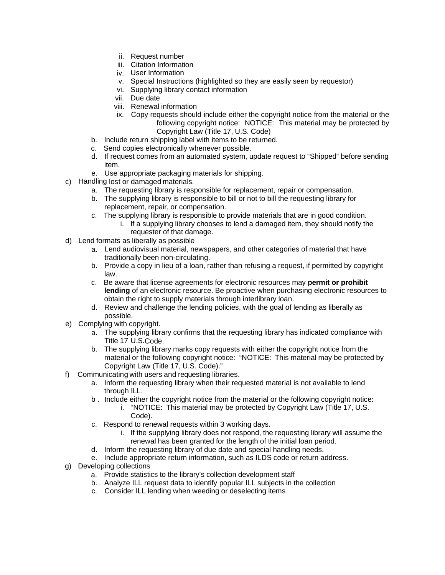- ii. Request number
- iii. Citation Information
- iv. User Information
- v. Special Instructions (highlighted so they are easily seen by requestor)
- vi. Supplying library contact information
- vii. Due date
- viii. Renewal information
- ix. Copy requests should include either the copyright notice from the material or the following copyright notice: NOTICE: This material may be protected by Copyright Law (Title 17, U.S. Code)
- b. Include return shipping label with items to be returned.
- c. Send copies electronically whenever possible.
- d. If request comes from an automated system, update request to "Shipped" before sending item.
- e. Use appropriate packaging materials for shipping.
- c) Handling lost or damaged materials*.*
	- a. The requesting library is responsible for replacement, repair or compensation.
	- b. The supplying library is responsible to bill or not to bill the requesting library for replacement, repair, or compensation.
	- c. The supplying library is responsible to provide materials that are in good condition. i. If a supplying library chooses to lend a damaged item, they should notify the
		- requester of that damage.
- d) Lend formats as liberally as possible
	- a. Lend audiovisual material, newspapers, and other categories of material that have traditionally been non-circulating.
	- b. Provide a copy in lieu of a loan, rather than refusing a request, if permitted by copyright law.
	- c. Be aware that license agreements for electronic resources may **permit or prohibit lending** of an electronic resource. Be proactive when purchasing electronic resources to obtain the right to supply materials through interlibrary loan.
	- d. Review and challenge the lending policies, with the goal of lending as liberally as possible.
- e) Complying with copyright.
	- a. The supplying library confirms that the requesting library has indicated compliance with Title 17 U.S.Code.
	- b. The supplying library marks copy requests with either the copyright notice from the material or the following copyright notice: "NOTICE: This material may be protected by Copyright Law (Title 17, U.S. Code)."
- f) Communicating with users and requesting libraries.
	- a. Inform the requesting library when their requested material is not available to lend through ILL.
	- b . Include either the copyright notice from the material or the following copyright notice:
		- i. "NOTICE: This material may be protected by Copyright Law (Title 17, U.S. Code).
	- c. Respond to renewal requests within 3 working days.
		- i. If the supplying library does not respond, the requesting library will assume the renewal has been granted for the length of the initial loan period.
	- d. Inform the requesting library of due date and special handling needs.
	- e. Include appropriate return information, such as ILDS code or return address.
- g) Developing collections
	- a. Provide statistics to the library's collection development staff
	- b. Analyze ILL request data to identify popular ILL subjects in the collection
	- c. Consider ILL lending when weeding or deselecting items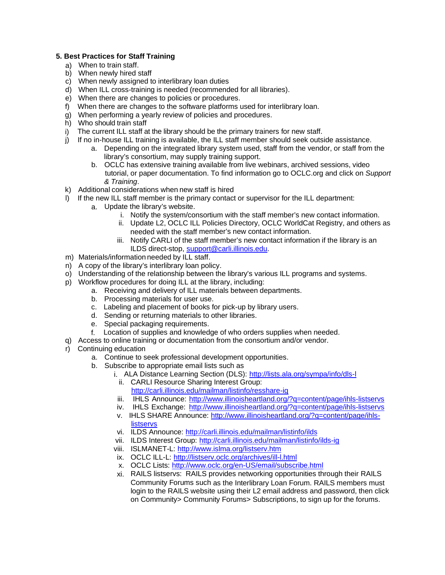# **5. Best Practices for Staff Training**

- a) When to train staff.
- b) When newly hired staff
- c) When newly assigned to interlibrary loan duties
- d) When ILL cross-training is needed (recommended for all libraries).
- e) When there are changes to policies or procedures.
- f) When there are changes to the software platforms used for interlibrary loan.
- $g$ ) When performing a yearly review of policies and procedures.
- h) Who should train staff
- i) The current ILL staff at the library should be the primary trainers for new staff.
- j) If no in-house ILL training is available, the ILL staff member should seek outside assistance.
	- a. Depending on the integrated library system used, staff from the vendor, or staff from the library's consortium, may supply training support.
	- b. OCLC has extensive training available from live webinars, archived sessions, video tutorial, or paper documentation. To find information go to OCLC.org and click on *Support & Training*.
- k) Additional considerations when new staff is hired
- l) If the new ILL staff member is the primary contact or supervisor for the ILL department:
	- a. Update the library's website.
		- i. Notify the system/consortium with the staff member's new contact information.
		- ii. Update L2, OCLC ILL Policies Directory, OCLC WorldCat Registry, and others as needed with the staff member's new contact information.
		- iii. Notify CARLI of the staff member's new contact information if the library is an ILDS direct-stop, [support@carli.illinois.edu.](mailto:support@carli.illinois.edu)
- m) Materials/information needed by ILL staff.
- n) A copy of the library's interlibrary loan policy.
- o) Understanding of the relationship between the library's various ILL programs and systems.
- p) Workflow procedures for doing ILL at the library, including:
	- a. Receiving and delivery of ILL materials between departments.
	- b. Processing materials for user use.
	- c. Labeling and placement of books for pick-up by library users.
	- d. Sending or returning materials to other libraries.
	- e. Special packaging requirements.
	- f. Location of supplies and knowledge of who orders supplies when needed.
- q) Access to online training or documentation from the consortium and/or vendor.
- r) Continuing education
	- a. Continue to seek professional development opportunities.
	- b. Subscribe to appropriate email lists such as
		- i. ALA Distance Learning Section (DLS):<http://lists.ala.org/sympa/info/dls-l>
			- ii. CARLI Resource Sharing Interest Group: <http://carli.illinois.edu/mailman/listinfo/resshare-ig>
			- iii. IHLS Announce: http://www.illinoisheartland.org/?q=content/page/ihls-listservs
			- iv. IHLS Exchange: http://www.illinoisheartland.org/?q=content/page/ihls-listservs
			- v. IHLS SHARE Announce: http://www.illinoisheartland.org/?q=content/page/ihls**listservs**
			- vi. ILDS Announce:<http://carli.illinois.edu/mailman/listinfo/ilds>
			- vii. ILDS Interest Group:<http://carli.illinois.edu/mailman/listinfo/ilds-ig>
			- viii. ISLMANET-L:<http://www.islma.org/listserv.htm>
			- ix. OCLC ILL-L:<http://listserv.oclc.org/archives/ill-l.html>
			- x. OCLC Lists:<http://www.oclc.org/en-US/email/subscribe.html>
			- xi. RAILS listservs: RAILS provides networking opportunities through their RAILS Community Forums such as the Interlibrary Loan Forum. RAILS members must login to the RAILS website using their L2 email address and password, then click on Community> Community Forums> Subscriptions, to sign up for the forums.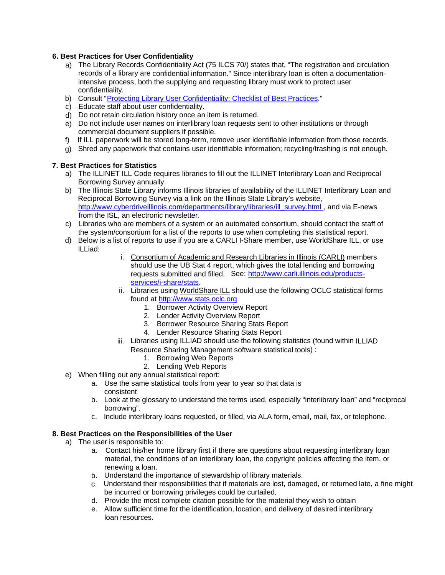### **6. Best Practices for User Confidentiality**

- a) The Library Records Confidentiality Act (75 ILCS 70/) states that, "The registration and circulation records of a library are confidential information." Since interlibrary loan is often a documentationintensive process, both the supplying and requesting library must work to protect user confidentiality.
- b) Consult "Protecting Library User [Confidentiality:](https://www.ila.org/advocacy/making-your-case/privacy/confidentiality-best-practices) Checklist of Best Practices."
- c) Educate staff about user confidentiality.
- d) Do not retain circulation history once an item is returned.
- e) Do not include user names on interlibrary loan requests sent to other institutions or through commercial document suppliers if possible.
- f) If ILL paperwork will be stored long-term, remove user identifiable information from those records.
- g) Shred any paperwork that contains user identifiable information; recycling/trashing is not enough.

### **7. Best Practices for Statistics**

- a) The ILLINET ILL Code requires libraries to fill out the ILLINET Interlibrary Loan and Reciprocal Borrowing Survey annually.
- b) The Illinois State Library informs Illinois libraries of availability of the ILLINET Interlibrary Loan and Reciprocal Borrowing Survey via a link on the Illinois State Library's website, [http://www.cyberdriveillinois.com/departments/library/libraries/ill\\_survey.html ,](http://www.cyberdriveillinois.com/departments/library/libraries/ill_survey.html) and via E-news from the ISL, an electronic newsletter.
- c) Libraries who are members of a system or an automated consortium, should contact the staff of the system/consortium for a list of the reports to use when completing this statistical report.
- d) Below is a list of reports to use if you are a CARLI I-Share member, use WorldShare ILL, or use ILLiad:
	- i. Consortium of Academic and Research Libraries in Illinois (CARLI) members should use the UB Stat 4 report, which gives the total lending and borrowing requests submitted and filled. See: [http://www.carli.illinois.edu/products](http://www.carli.illinois.edu/products-services/i-share/stats)[services/i-share/stats.](http://www.carli.illinois.edu/products-services/i-share/stats)
	- ii. Libraries using WorldShare ILL should use the following OCLC statistical forms found at [http://www.stats.oclc.org](http://www.stats.oclc.org/)
		- 1. Borrower Activity Overview Report
		- 2. Lender Activity Overview Report
		- 3. Borrower Resource Sharing Stats Report
		- 4. Lender Resource Sharing Stats Report
	- iii. Libraries using ILLIAD should use the following statistics (found within ILLIAD Resource Sharing Management software statistical tools) :
		- 1. Borrowing Web Reports
		- 2. Lending Web Reports
- e) When filling out any annual statistical report:
	- a. Use the same statistical tools from year to year so that data is consistent
	- b. Look at the glossary to understand the terms used, especially "interlibrary loan" and "reciprocal borrowing".
	- c. Include interlibrary loans requested, or filled, via ALA form, email, mail, fax, or telephone.

#### **8. Best Practices on the Responsibilities of the User**

- a) The user is responsible to:
	- a. Contact his/her home library first if there are questions about requesting interlibrary loan material, the conditions of an interlibrary loan, the copyright policies affecting the item, or renewing a loan.
	- b. Understand the importance of stewardship of library materials.
	- c. Understand their responsibilities that if materials are lost, damaged, or returned late, a fine might be incurred or borrowing privileges could be curtailed.
	- d. Provide the most complete citation possible for the material they wish to obtain
	- e. Allow sufficient time for the identification, location, and delivery of desired interlibrary loan resources.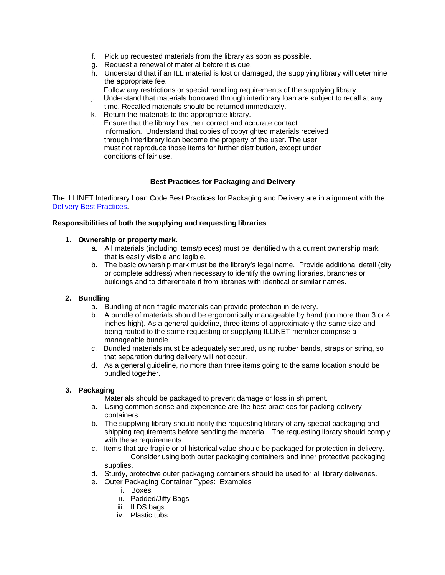- f. Pick up requested materials from the library as soon as possible.
- g. Request a renewal of material before it is due.
- h. Understand that if an ILL material is lost or damaged, the supplying library will determine the appropriate fee.
- i. Follow any restrictions or special handling requirements of the supplying library.
- j. Understand that materials borrowed through interlibrary loan are subject to recall at any time. Recalled materials should be returned immediately.
- k. Return the materials to the appropriate library.
- l. Ensure that the library has their correct and accurate contact information. Understand that copies of copyrighted materials received through interlibrary loan become the property of the user. The user must not reproduce those items for further distribution, except under conditions of fair use.

# **Best Practices for Packaging and Delivery**

The ILLINET Interlibrary Loan Code Best Practices for Packaging and Delivery are in alignment with the Delivery Best [Practices.](http://www.cyberdriveillinois.com/departments/library/delivery/delivery-best-practices.html)

## **Responsibilities of both the supplying and requesting libraries**

### **1. Ownership or property mark.**

- a. All materials (including items/pieces) must be identified with a current ownership mark that is easily visible and legible.
- b. The basic ownership mark must be the library's legal name. Provide additional detail (city or complete address) when necessary to identify the owning libraries, branches or buildings and to differentiate it from libraries with identical or similar names.

## **2. Bundling**

- a. Bundling of non-fragile materials can provide protection in delivery.
- b. A bundle of materials should be ergonomically manageable by hand (no more than 3 or 4 inches high). As a general guideline, three items of approximately the same size and being routed to the same requesting or supplying ILLINET member comprise a manageable bundle.
- c. Bundled materials must be adequately secured, using rubber bands, straps or string, so that separation during delivery will not occur.
- d. As a general guideline, no more than three items going to the same location should be bundled together.

## **3. Packaging**

- Materials should be packaged to prevent damage or loss in shipment.
- a. Using common sense and experience are the best practices for packing delivery containers.
- b. The supplying library should notify the requesting library of any special packaging and shipping requirements before sending the material. The requesting library should comply with these requirements.
- c. Items that are fragile or of historical value should be packaged for protection in delivery. Consider using both outer packaging containers and inner protective packaging supplies.
- d. Sturdy, protective outer packaging containers should be used for all library deliveries.
- e. Outer Packaging Container Types: Examples
	- i. Boxes
	- ii. Padded/Jiffy Bags
	- iii. ILDS bags
	- iv. Plastic tubs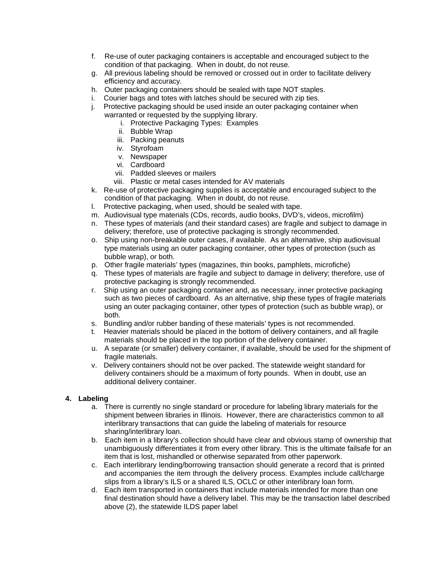- f. Re-use of outer packaging containers is acceptable and encouraged subject to the condition of that packaging. When in doubt, do not reuse.
- g. All previous labeling should be removed or crossed out in order to facilitate delivery efficiency and accuracy.
- h. Outer packaging containers should be sealed with tape NOT staples.
- i. Courier bags and totes with latches should be secured with zip ties.
- j. Protective packaging should be used inside an outer packaging container when warranted or requested by the supplying library.
	- i. Protective Packaging Types: Examples
	- ii. Bubble Wrap
	- iii. Packing peanuts
	- iv. Styrofoam
	- v. Newspaper
	- vi. Cardboard
	- vii. Padded sleeves or mailers
	- viii. Plastic or metal cases intended for AV materials
- k. Re-use of protective packaging supplies is acceptable and encouraged subject to the condition of that packaging. When in doubt, do not reuse.
- l. Protective packaging, when used, should be sealed with tape.
- m. Audiovisual type materials (CDs, records, audio books, DVD's, videos, microfilm)
- n. These types of materials (and their standard cases) are fragile and subject to damage in delivery; therefore, use of protective packaging is strongly recommended.
- o. Ship using non-breakable outer cases, if available. As an alternative, ship audiovisual type materials using an outer packaging container, other types of protection (such as bubble wrap), or both.
- p. Other fragile materials' types (magazines, thin books, pamphlets, microfiche)
- q. These types of materials are fragile and subject to damage in delivery; therefore, use of protective packaging is strongly recommended.
- r. Ship using an outer packaging container and, as necessary, inner protective packaging such as two pieces of cardboard. As an alternative, ship these types of fragile materials using an outer packaging container, other types of protection (such as bubble wrap), or both.
- s. Bundling and/or rubber banding of these materials' types is not recommended.
- t. Heavier materials should be placed in the bottom of delivery containers, and all fragile materials should be placed in the top portion of the delivery container.
- u. A separate (or smaller) delivery container, if available, should be used for the shipment of fragile materials.
- v. Delivery containers should not be over packed. The statewide weight standard for delivery containers should be a maximum of forty pounds. When in doubt, use an additional delivery container.

## **4. Labeling**

- a. There is currently no single standard or procedure for labeling library materials for the shipment between libraries in Illinois. However, there are characteristics common to all interlibrary transactions that can guide the labeling of materials for resource sharing/interlibrary loan.
- b. Each item in a library's collection should have clear and obvious stamp of ownership that unambiguously differentiates it from every other library. This is the ultimate failsafe for an item that is lost, mishandled or otherwise separated from other paperwork.
- c. Each interlibrary lending/borrowing transaction should generate a record that is printed and accompanies the item through the delivery process. Examples include call/charge slips from a library's ILS or a shared ILS, OCLC or other interlibrary loan form.
- d. Each item transported in containers that include materials intended for more than one final destination should have a delivery label. This may be the transaction label described above (2), the statewide ILDS paper label